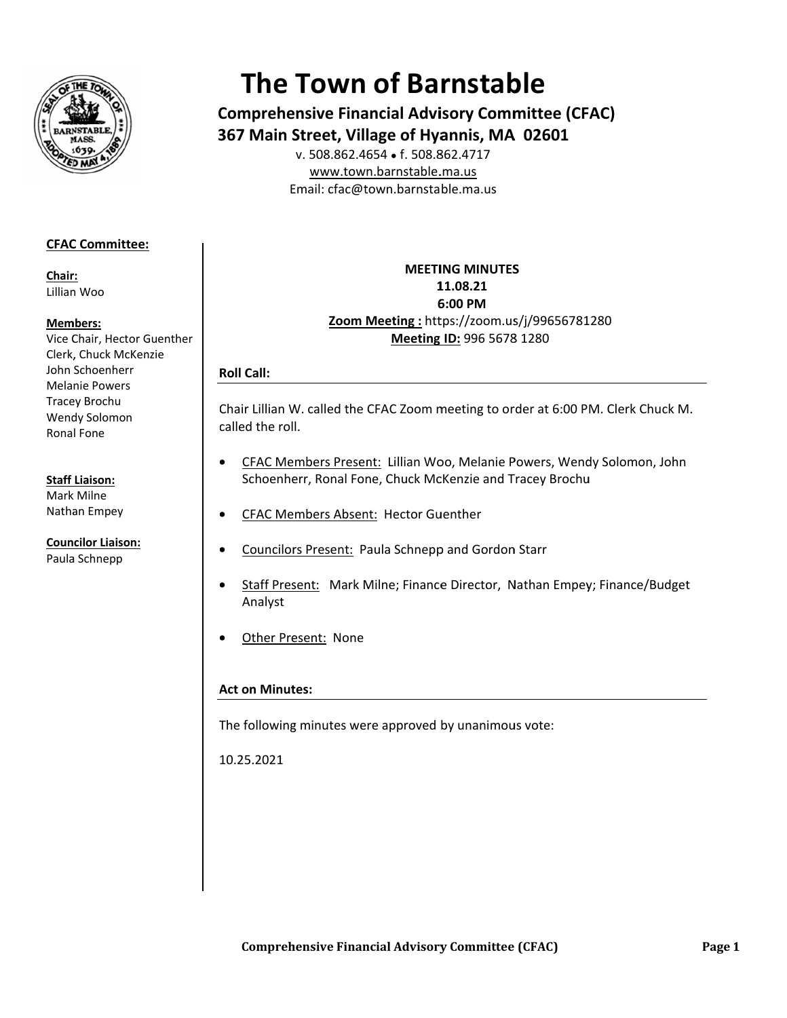

# **The Town of Barnstable**

**Comprehensive Financial Advisory Committee (CFAC)** 367 Main Street, Village of Hyannis, MA 02601 v. 508.862.4654 • f. 508.862.4717

www.town.barnstable.ma.us Email: cfac@town.barnstable.ma.us

# **CFAC Committee:**

Chair: Lillian Woo

## Members:

Vice Chair, Hector Guenther Clerk, Chuck McKenzie John Schoenherr **Melanie Powers Tracey Brochu** Wendy Solomon Ronal Fone

## **Staff Liaison:**

Mark Milne Nathan Empey

**Councilor Liaison:** Paula Schnepp

**MEETING MINUTES** 11.08.21 6:00 PM Zoom Meeting: https://zoom.us/j/99656781280 Meeting ID: 996 5678 1280

# **Roll Call:**

Chair Lillian W. called the CFAC Zoom meeting to order at 6:00 PM. Clerk Chuck M. called the roll.

- CFAC Members Present: Lillian Woo, Melanie Powers, Wendy Solomon, John  $\bullet$ Schoenherr, Ronal Fone, Chuck McKenzie and Tracey Brochu
- **CFAC Members Absent: Hector Guenther**
- **Councilors Present: Paula Schnepp and Gordon Starr**  $\bullet$
- Staff Present: Mark Milne; Finance Director, Nathan Empey; Finance/Budget Analyst
- Other Present: None

# **Act on Minutes:**

The following minutes were approved by unanimous vote:

10.25.2021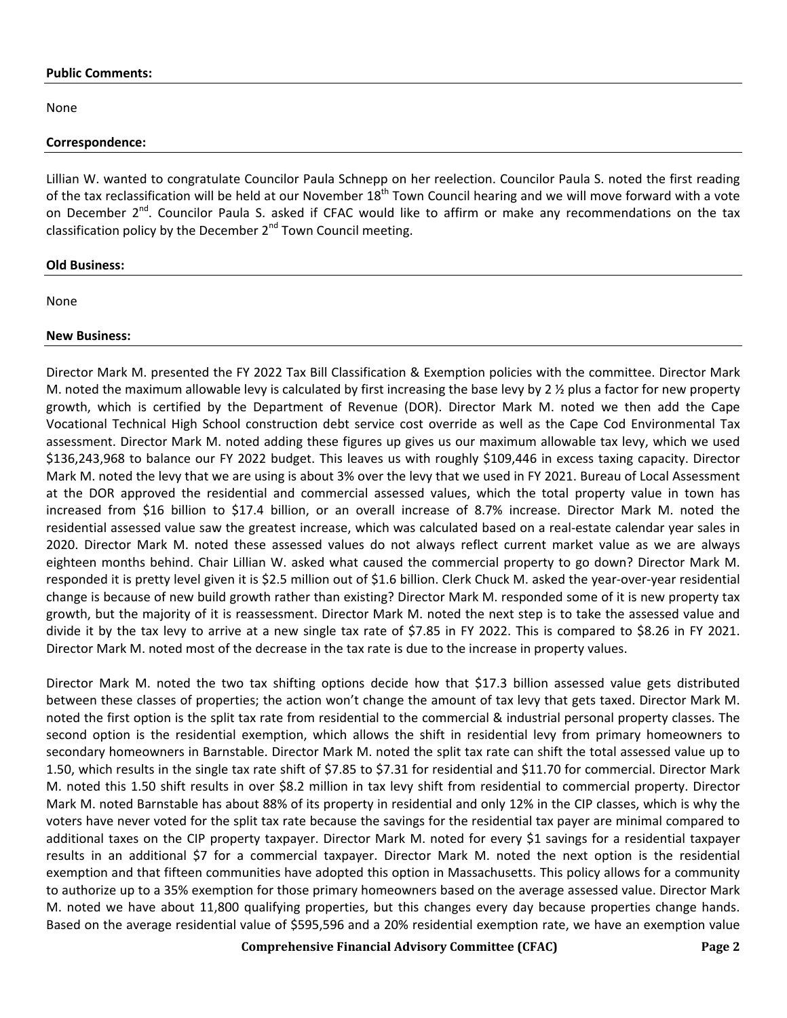#### **Public Comments:**

None

#### **Correspondence:**

Lillian W. wanted to congratulate Councilor Paula Schnepp on her reelection. Councilor Paula S. noted the first reading of the tax reclassification will be held at our November  $18<sup>th</sup>$  Town Council hearing and we will move forward with a vote on December 2<sup>nd</sup>. Councilor Paula S. asked if CFAC would like to affirm or make any recommendations on the tax classification policy by the December  $2<sup>nd</sup>$  Town Council meeting.

## **Old Business:**

None

## **New Business:**

Director Mark M. presented the FY 2022 Tax Bill Classification & Exemption policies with the committee. Director Mark M. noted the maximum allowable levy is calculated by first increasing the base levy by 2  $\frac{1}{2}$  plus a factor for new property growth, which is certified by the Department of Revenue (DOR). Director Mark M. noted we then add the Cape Vocational Technical High School construction debt service cost override as well as the Cape Cod Environmental Tax assessment. Director Mark M. noted adding these figures up gives us our maximum allowable tax levy, which we used \$136,243,968 to balance our FY 2022 budget. This leaves us with roughly \$109,446 in excess taxing capacity. Director Mark M. noted the levy that we are using is about 3% over the levy that we used in FY 2021. Bureau of Local Assessment at the DOR approved the residential and commercial assessed values, which the total property value in town has increased from \$16 billion to \$17.4 billion, or an overall increase of 8.7% increase. Director Mark M. noted the residential assessed value saw the greatest increase, which was calculated based on a real-estate calendar year sales in 2020. Director Mark M. noted these assessed values do not always reflect current market value as we are always eighteen months behind. Chair Lillian W. asked what caused the commercial property to go down? Director Mark M. responded it is pretty level given it is \$2.5 million out of \$1.6 billion. Clerk Chuck M. asked the year-over-year residential change is because of new build growth rather than existing? Director Mark M. responded some of it is new property tax growth, but the majority of it is reassessment. Director Mark M. noted the next step is to take the assessed value and divide it by the tax levy to arrive at a new single tax rate of \$7.85 in FY 2022. This is compared to \$8.26 in FY 2021. Director Mark M. noted most of the decrease in the tax rate is due to the increase in property values.

Director Mark M. noted the two tax shifting options decide how that \$17.3 billion assessed value gets distributed between these classes of properties; the action won't change the amount of tax levy that gets taxed. Director Mark M. noted the first option is the split tax rate from residential to the commercial & industrial personal property classes. The second option is the residential exemption, which allows the shift in residential levy from primary homeowners to secondary homeowners in Barnstable. Director Mark M. noted the split tax rate can shift the total assessed value up to 1.50, which results in the single tax rate shift of \$7.85 to \$7.31 for residential and \$11.70 for commercial. Director Mark M. noted this 1.50 shift results in over \$8.2 million in tax levy shift from residential to commercial property. Director Mark M. noted Barnstable has about 88% of its property in residential and only 12% in the CIP classes, which is why the voters have never voted for the split tax rate because the savings for the residential tax payer are minimal compared to additional taxes on the CIP property taxpayer. Director Mark M. noted for every \$1 savings for a residential taxpayer results in an additional \$7 for a commercial taxpayer. Director Mark M. noted the next option is the residential exemption and that fifteen communities have adopted this option in Massachusetts. This policy allows for a community to authorize up to a 35% exemption for those primary homeowners based on the average assessed value. Director Mark M. noted we have about 11,800 qualifying properties, but this changes every day because properties change hands. Based on the average residential value of \$595,596 and a 20% residential exemption rate, we have an exemption value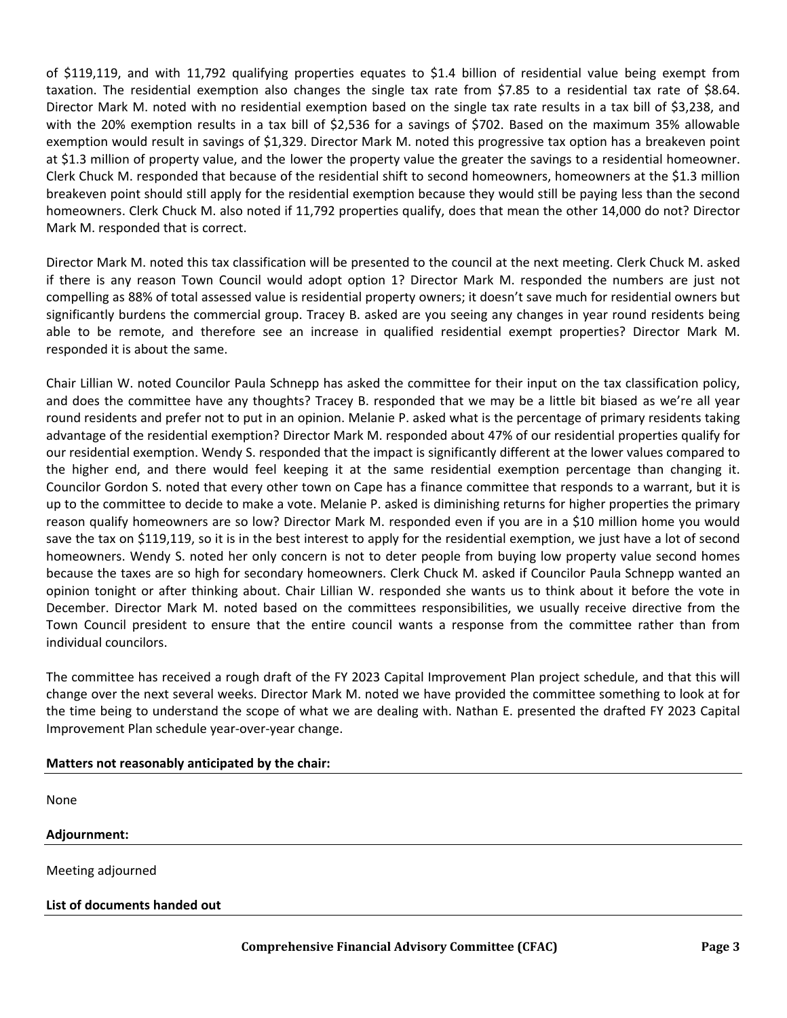of \$119,119, and with 11,792 qualifying properties equates to \$1.4 billion of residential value being exempt from taxation. The residential exemption also changes the single tax rate from \$7.85 to a residential tax rate of \$8.64. Director Mark M. noted with no residential exemption based on the single tax rate results in a tax bill of \$3,238, and with the 20% exemption results in a tax bill of \$2,536 for a savings of \$702. Based on the maximum 35% allowable exemption would result in savings of \$1,329. Director Mark M. noted this progressive tax option has a breakeven point at \$1.3 million of property value, and the lower the property value the greater the savings to a residential homeowner. Clerk Chuck M. responded that because of the residential shift to second homeowners, homeowners at the \$1.3 million breakeven point should still apply for the residential exemption because they would still be paying less than the second homeowners. Clerk Chuck M. also noted if 11,792 properties qualify, does that mean the other 14,000 do not? Director Mark M. responded that is correct.

Director Mark M. noted this tax classification will be presented to the council at the next meeting. Clerk Chuck M. asked if there is any reason Town Council would adopt option 1? Director Mark M. responded the numbers are just not compelling as 88% of total assessed value is residential property owners; it doesn't save much for residential owners but significantly burdens the commercial group. Tracey B. asked are you seeing any changes in year round residents being able to be remote, and therefore see an increase in qualified residential exempt properties? Director Mark M. responded it is about the same.

Chair Lillian W. noted Councilor Paula Schnepp has asked the committee for their input on the tax classification policy, and does the committee have any thoughts? Tracey B. responded that we may be a little bit biased as we're all year round residents and prefer not to put in an opinion. Melanie P. asked what is the percentage of primary residents taking advantage of the residential exemption? Director Mark M. responded about 47% of our residential properties qualify for our residential exemption. Wendy S. responded that the impact is significantly different at the lower values compared to the higher end, and there would feel keeping it at the same residential exemption percentage than changing it. Councilor Gordon S. noted that every other town on Cape has a finance committee that responds to a warrant, but it is up to the committee to decide to make a vote. Melanie P. asked is diminishing returns for higher properties the primary reason qualify homeowners are so low? Director Mark M. responded even if you are in a \$10 million home you would save the tax on \$119,119, so it is in the best interest to apply for the residential exemption, we just have a lot of second homeowners. Wendy S. noted her only concern is not to deter people from buying low property value second homes because the taxes are so high for secondary homeowners. Clerk Chuck M. asked if Councilor Paula Schnepp wanted an opinion tonight or after thinking about. Chair Lillian W. responded she wants us to think about it before the vote in December. Director Mark M. noted based on the committees responsibilities, we usually receive directive from the Town Council president to ensure that the entire council wants a response from the committee rather than from individual councilors.

The committee has received a rough draft of the FY 2023 Capital Improvement Plan project schedule, and that this will change over the next several weeks. Director Mark M. noted we have provided the committee something to look at for the time being to understand the scope of what we are dealing with. Nathan E. presented the drafted FY 2023 Capital Improvement Plan schedule year-over-year change.

| Matters not reasonably anticipated by the chair: |
|--------------------------------------------------|
|                                                  |
| None                                             |
| Adjournment:                                     |
| Meeting adjourned                                |
| List of documents handed out                     |